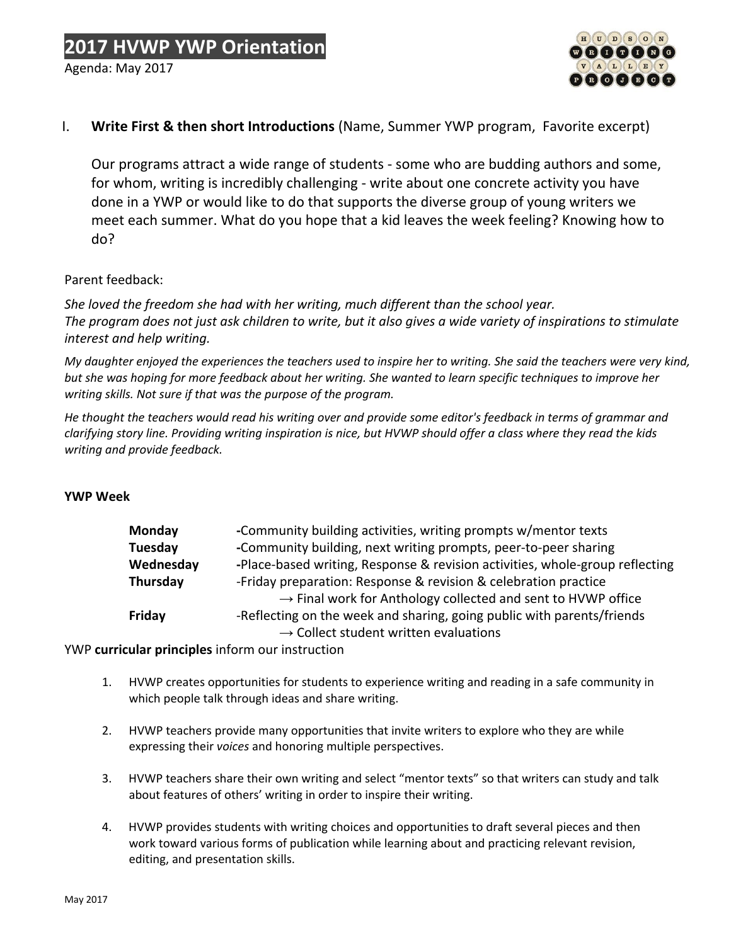

### I. **Write First & then short Introductions** (Name, Summer YWP program, Favorite excerpt)

Our programs attract a wide range of students - some who are budding authors and some, for whom, writing is incredibly challenging - write about one concrete activity you have done in a YWP or would like to do that supports the diverse group of young writers we meet each summer. What do you hope that a kid leaves the week feeling? Knowing how to do?

#### Parent feedback:

*She loved the freedom she had with her writing, much different than the school year. The program does not just ask children to write, but it also gives a wide variety of inspirations to stimulate interest and help writing.*

My daughter enjoyed the experiences the teachers used to inspire her to writing. She said the teachers were very kind, but she was hoping for more feedback about her writing. She wanted to learn specific techniques to improve her *writing skills. Not sure if that was the purpose of the program.*

He thought the teachers would read his writing over and provide some editor's feedback in terms of grammar and clarifying story line. Providing writing inspiration is nice, but HVWP should offer a class where they read the kids *writing and provide feedback.*

#### **YWP Week**

| Monday    | -Community building activities, writing prompts w/mentor texts               |
|-----------|------------------------------------------------------------------------------|
| Tuesday   | -Community building, next writing prompts, peer-to-peer sharing              |
| Wednesday | -Place-based writing, Response & revision activities, whole-group reflecting |
| Thursday  | -Friday preparation: Response & revision & celebration practice              |
|           | $\rightarrow$ Final work for Anthology collected and sent to HVWP office     |
| Friday    | -Reflecting on the week and sharing, going public with parents/friends       |
|           | $\rightarrow$ Collect student written evaluations                            |

YWP **curricular principles** inform our instruction

- 1. HVWP creates opportunities for students to experience writing and reading in a safe community in which people talk through ideas and share writing.
- 2. HVWP teachers provide many opportunities that invite writers to explore who they are while expressing their *voices* and honoring multiple perspectives.
- 3. HVWP teachers share their own writing and select "mentor texts" so that writers can study and talk about features of others' writing in order to inspire their writing.
- 4. HVWP provides students with writing choices and opportunities to draft several pieces and then work toward various forms of publication while learning about and practicing relevant revision, editing, and presentation skills.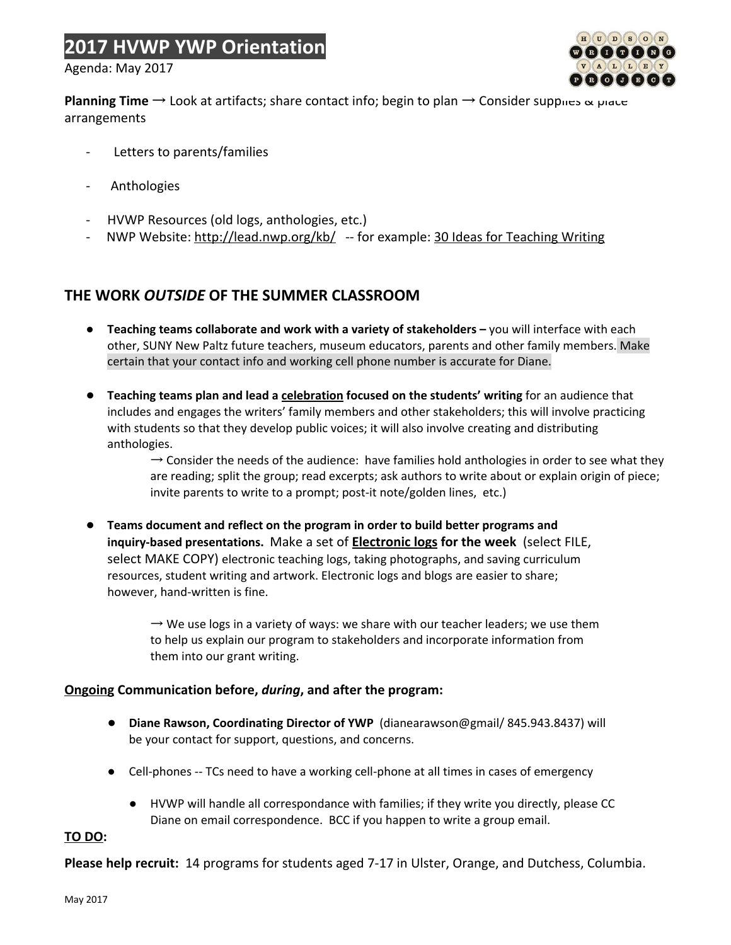## **2017 HVWP YWP Orientation**

Agenda: May 2017



**Planning Time** → Look at artifacts; share contact info; begin to plan → Consider supplies & place arrangements

- Letters to parents/families
- **Anthologies**
- HVWP Resources (old logs, anthologies, etc.)
- NWP Website: <http://lead.nwp.org/kb/> -- for example: [30 Ideas for Teaching Writing](http://lead.nwp.org/knowledgebase/30-ideas-for-teaching-writing/)

## **THE WORK** *OUTSIDE* **OF THE SUMMER CLASSROOM**

- **● Teaching teams collaborate and work with a variety of stakeholders –** you will interface with each other, SUNY New Paltz future teachers, museum educators, parents and other family members. Make certain that your contact info and working cell phone number is accurate for Diane.
- **● Teaching teams plan and lead a celebration focused on the students' writing** for an audience that includes and engages the writers' family members and other stakeholders; this will involve practicing with students so that they develop public voices; it will also involve creating and distributing anthologies.

 $\rightarrow$  Consider the needs of the audience: have families hold anthologies in order to see what they are reading; split the group; read excerpts; ask authors to write about or explain origin of piece; invite parents to write to a prompt; post-it note/golden lines, etc.)

**● Teams document and reflect on the program in order to build better programs and inquiry-based presentations.** Make a set of **[Electronic logs](https://docs.google.com/document/d/1YiAqe_Je5Hk3yP7AmmlJ9E-ca9VWOh57Mgeogwle-9M/edit?usp=sharing) for the week**  (select FILE, select MAKE COPY) electronic teaching logs, taking photographs, and saving curriculum resources, student writing and artwork. Electronic logs and blogs are easier to share; however, hand-written is fine.

> $\rightarrow$  We use logs in a variety of ways: we share with our teacher leaders; we use them to help us explain our program to stakeholders and incorporate information from them into our grant writing.

#### **Ongoing Communication before,** *during***, and after the program:**

- **Diane Rawson, Coordinating Director of YWP** (dianearawson@gmail/ 845.943.8437) will be your contact for support, questions, and concerns.
- Cell-phones -- TCs need to have a working cell-phone at all times in cases of emergency
	- HVWP will handle all correspondance with families; if they write you directly, please CC Diane on email correspondence. BCC if you happen to write a group email.

#### **TO DO:**

**Please help recruit:** 14 programs for students aged 7-17 in Ulster, Orange, and Dutchess, Columbia.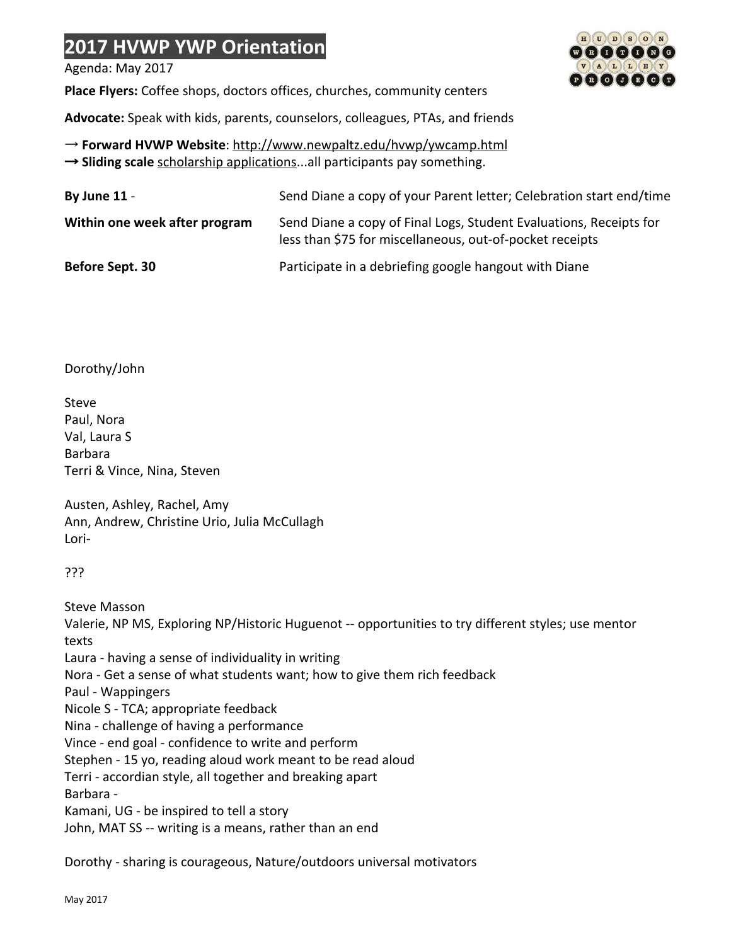## **2017 HVWP YWP Orientation**

Agenda: May 2017

**Place Flyers:** Coffee shops, doctors offices, churches, community centers

 $\boxed{H}$  $\boxed{U}$  $\boxed{D}$  $\boxed{S}$  $\boxed{O}$  $\boxed{N}$  $\negthinspace\textcircled{\tiny{R}}\hspace{0.08cm}\negthinspace\textcircled{\tiny{R}}\hspace{0.08cm}\negthinspace\textcircled{\tiny{R}}\hspace{0.08cm}\negthinspace\textcircled{\tiny{R}}$  $\mathbf{V} \left(\mathbf{A}\right) \left(\mathbf{L}\right) \left(\mathbf{L}\right) \left(\mathbf{E}\right) \left(\mathbf{Y}\right)$  $\mathbf{0} \mathbf{0} \mathbf{0} \mathbf{0} \mathbf{0} \mathbf{0}$ 

**Advocate:** Speak with kids, parents, counselors, colleagues, PTAs, and friends

→ **Forward HVWP Website**:<http://www.newpaltz.edu/hvwp/ywcamp.html> → **Sliding scale** [scholarship applications](http://www.newpaltz.edu/hvwp/scholarshipap2013.pdf)...all participants pay something.

| By June $11 -$                | Send Diane a copy of your Parent letter; Celebration start end/time                                                            |
|-------------------------------|--------------------------------------------------------------------------------------------------------------------------------|
| Within one week after program | Send Diane a copy of Final Logs, Student Evaluations, Receipts for<br>less than \$75 for miscellaneous, out-of-pocket receipts |
| Before Sept. 30               | Participate in a debriefing google hangout with Diane                                                                          |

### Dorothy/John

Steve Paul, Nora Val, Laura S Barbara Terri & Vince, Nina, Steven

Austen, Ashley, Rachel, Amy Ann, Andrew, Christine Urio, Julia McCullagh Lori-

???

Steve Masson

Valerie, NP MS, Exploring NP/Historic Huguenot -- opportunities to try different styles; use mentor texts Laura - having a sense of individuality in writing Nora - Get a sense of what students want; how to give them rich feedback Paul - Wappingers

Nicole S - TCA; appropriate feedback

Nina - challenge of having a performance

Vince - end goal - confidence to write and perform

Stephen - 15 yo, reading aloud work meant to be read aloud

Terri - accordian style, all together and breaking apart

Barbara -

Kamani, UG - be inspired to tell a story

John, MAT SS -- writing is a means, rather than an end

Dorothy - sharing is courageous, Nature/outdoors universal motivators